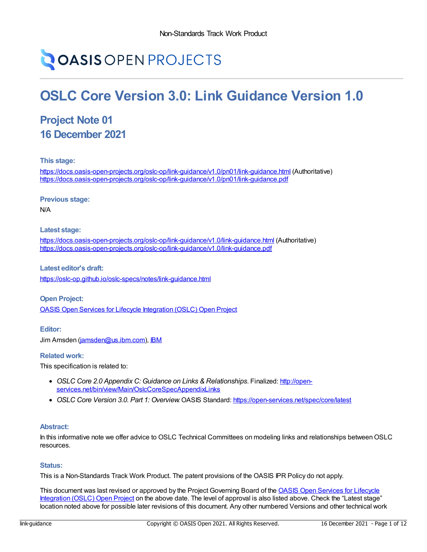# **OASIS OPEN PROJECTS**

## **OSLC Core Version 3.0: Link Guidance Version 1.0**

## **Project Note 01 16 December 2021**

**This stage:**

<https://docs.oasis-open-projects.org/oslc-op/link-guidance/v1.0/pn01/link-guidance.html> (Authoritative) <https://docs.oasis-open-projects.org/oslc-op/link-guidance/v1.0/pn01/link-guidance.pdf>

**Previous stage:**

N/A

**Latest stage:**

<https://docs.oasis-open-projects.org/oslc-op/link-guidance/v1.0/link-guidance.html> (Authoritative) <https://docs.oasis-open-projects.org/oslc-op/link-guidance/v1.0/link-guidance.pdf>

**Latest editor's draft:** <https://oslc-op.github.io/oslc-specs/notes/link-guidance.html>

**Open Project:** OASIS Open Services for Lifecycle [Integration](https://open-services.net/about/) (OSLC) Open Project

**Editor:** Jim Amsden [\(jamsden@us.ibm.com\)](mailto:jamsden@us.ibm.com), [IBM](http://ibm.com/)

#### **Related work:**

This specification is related to:

- *OSLC Core 2.0 Appendix C: Guidance on Links & Relationships*. Finalized: http://open[services.net/bin/view/Main/OslcCoreSpecAppendixLinks](http://open-services.net/bin/view/Main/OslcCoreSpecAppendixLinks)
- *OSLC Core Version 3.0. Part 1: Overview*. OASIS Standard: <https://open-services.net/spec/core/latest>

#### **Abstract:**

In this informative note we offer advice to OSLC Technical Committees on modeling links and relationships between OSLC resources.

#### **Status:**

This is a Non-Standards Track Work Product. The patent provisions of the OASIS IPR Policy do not apply.

This document was last revised or approved by the Project [Governing](https://open-services.net/about/) Board of the OASIS Open Services for Lifecycle Integration (OSLC) Open Project on the above date. The level of approval is also listed above. Check the "Latest stage" location noted above for possible later revisions of this document. Any other numbered Versions and other technical work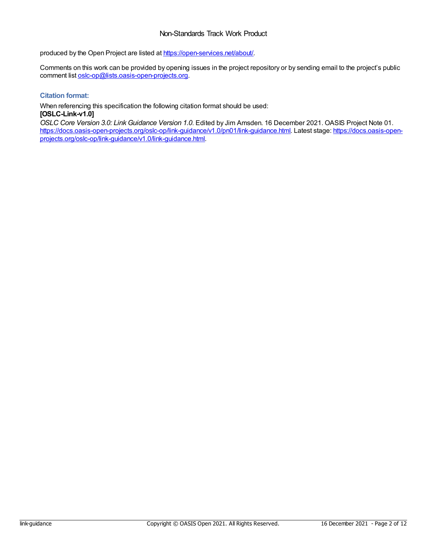#### Non-Standards Track Work Product

produced by the Open Project are listed at <https://open-services.net/about/>.

Comments on this work can be provided by opening issues in the project repository or by sending email to the project's public comment list [oslc-op@lists.oasis-open-projects.org](mailto:oslc-op@lists.oasis-open-projects.org).

#### **Citation format:**

When referencing this specification the following citation format should be used:

#### **[OSLC-Link-v1.0]**

*OSLC Core Version 3.0: Link Guidance Version 1.0*. Edited by Jim Amsden. 16 December 2021. OASIS Project Note 01. [https://docs.oasis-open-projects.org/oslc-op/link-guidance/v1.0/pn01/link-guidance.html.](https://docs.oasis-open-projects.org/oslc-op/link-guidance/v1.0/link-guidance.html) Latest stage: https://docs.oasis-openprojects.org/oslc-op/link-guidance/v1.0/link-guidance.html.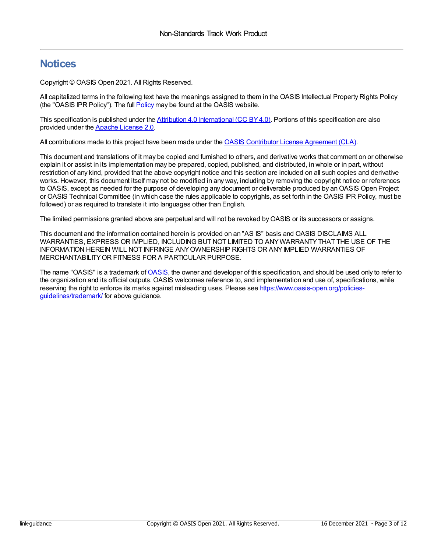### **Notices**

Copyright © OASIS Open 2021. All Rights Reserved.

All capitalized terms in the following text have the meanings assigned to them in the OASIS Intellectual Property Rights Policy (the "OASIS IPR Policy"). The full [Policy](https://www.oasis-open.org/policies-guidelines/ipr/) may be found at the OASIS website.

This specification is published under the Attribution 4.0 [International](https://creativecommons.org/licenses/by/4.0/legalcode) (CC BY4.0). Portions of this specification are also provided under the Apache [License](https://www.apache.org/licenses/LICENSE-2.0) 2.0.

All contributions made to this project have been made under the OASIS Contributor License [Agreement](https://www.oasis-open.org/policies-guidelines/open-projects-process/#individual-cla-exhibit) (CLA).

This document and translations of it may be copied and furnished to others, and derivative works that comment on or otherwise explain it or assist in its implementation may be prepared, copied, published, and distributed, in whole or in part, without restriction of any kind, provided that the above copyright notice and this section are included on all such copies and derivative works. However, this document itself may not be modified in any way, including by removing the copyright notice or references to OASIS, except as needed for the purpose of developing any document or deliverable produced by an OASIS Open Project or OASIS Technical Committee (in which case the rules applicable to copyrights, as set forth in the OASIS IPR Policy, must be followed) or as required to translate it into languages other than English.

The limited permissions granted above are perpetual and will not be revoked byOASIS or its successors or assigns.

This document and the information contained herein is provided on an "AS IS" basis and OASIS DISCLAIMS ALL WARRANTIES, EXPRESS OR IMPLIED, INCLUDING BUT NOT LIMITED TO ANYWARRANTYTHAT THE USE OF THE INFORMATION HEREIN WILL NOT INFRINGE ANYOWNERSHIP RIGHTS OR ANYIMPLIED WARRANTIES OF MERCHANTABILITYOR FITNESS FOR A PARTICULAR PURPOSE.

The name "OASIS" is a trademark of [OASIS](https://www.oasis-open.org/), the owner and developer of this specification, and should be used only to refer to the organization and its official outputs. OASIS welcomes reference to, and implementation and use of, specifications, while reserving the right to enforce its marks against misleading uses. Please see [https://www.oasis-open.org/policies](https://www.oasis-open.org/policies-guidelines/trademark/)guidelines/trademark/ for above guidance.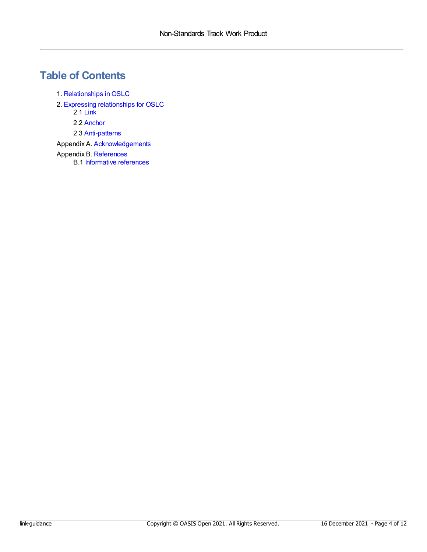## **Table of Contents**

- 1. [Relationships](#page-4-0) inOSLC
- 2. Expressing [relationships](#page-7-0) for OSLC
	- 2.1 [Link](#page-5-0)
	- 2.2 [Anchor](#page-7-1)
	- 2.3 [Anti-patterns](#page-9-0)
- Appendix A. [Acknowledgements](#page-10-0)
- Appendix B. [References](#page-11-0)
	- B.1 [Informative](#page-11-1) references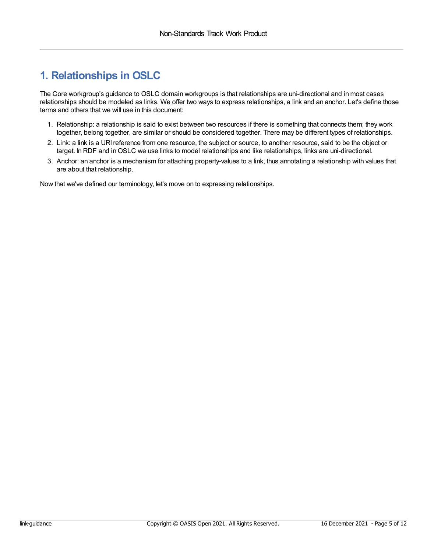## <span id="page-4-0"></span>**1. Relationships in OSLC**

The Core workgroup's guidance to OSLC domain workgroups is that relationships are uni-directional and in most cases relationships should be modeled as links. We offer two ways to express relationships, a link and an anchor. Let's define those terms and others that we will use in this document:

- 1. Relationship: a relationship is said to exist between two resources if there is something that connects them; they work together, belong together, are similar or should be considered together. There may be different types of relationships.
- 2. Link: a link is a URIreference from one resource, the subject or source, to another resource, said to be the object or target. In RDF and inOSLC we use links to model relationships and like relationships, links are uni-directional.
- 3. Anchor: an anchor is a mechanism for attaching property-values to a link, thus annotating a relationship with values that are about that relationship.

Now that we've defined our terminology, let's move on to expressing relationships.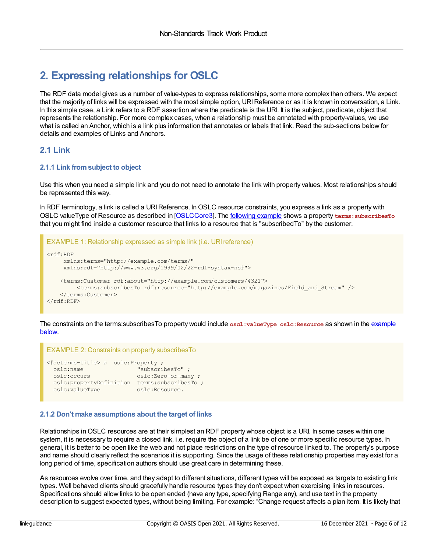## **2. Expressing relationships for OSLC**

The RDF data model gives us a number of value-types to express relationships, some more complex than others. We expect that the majority of links will be expressed with the most simple option, URI Reference or as it is known in conversation, a Link. In this simple case, a Link refers to a RDF assertion where the predicate is the URI. It is the subject, predicate, object that represents the relationship. For more complex cases, when a relationship must be annotated with property-values, we use what is called an Anchor, which is a link plus information that annotates or labels that link. Read the sub-sections below for details and examples of Links and Anchors.

#### <span id="page-5-0"></span>**2.1 Link**

#### **2.1.1 Link fromsubject to object**

Use this when you need a simple link and you do not need to annotate the link with property values. Most relationships should be represented this way.

In RDF terminology, a link is called a URI Reference. In OSLC resource constraints, you express a link as a property with OSLC valueType of Resource as described in [\[OSLCCore3](#page-11-2)]. The [following](#page-5-1) example shows a property **terms:subscribesTo** that you might find inside a customer resource that links to a resource that is "subscribedTo" by the customer.

```
EXAMPLE 1: Relationship expressed as simple link (i.e. URI reference)
<rdf:RDF
    xmlns:terms="http://example.com/terms/"
    xmlns:rdf="http://www.w3.org/1999/02/22-rdf-syntax-ns#">
   <terms:Customer rdf:about="http://example.com/customers/4321">
        <terms:subscribesTo rdf:resource="http://example.com/magazines/Field_and_Stream" />
   </terms:Customer>
\langlerdf:RDF>
```
The constraints on the [terms:subscribesTo](#page-5-2) property would include **oscl:valueType oslc:Resource** as shown in the example below.

#### EXAMPLE 2: Constraints on property subscribesTo

```
<#dcterms-title> a oslc:Property ;
 oslc:name "subscribesTo" ;
 oslc:occurs oslc:Zero-or-many ;
 oslc:propertyDefinition terms:subscribesTo ;
 oslc:valueType oslc:Resource.
```
#### **2.1.2 Don't make assumptions about the target of links**

Relationships in OSLC resources are at their simplest an RDF property whose object is a URI. In some cases within one system, it is necessary to require a closed link, i.e. require the object of a link be of one or more specific resource types. In general, it is better to be open like the web and not place restrictions on the type of resource linked to. The property's purpose and name should clearly reflect the scenarios it is supporting. Since the usage of these relationship properties may exist for a long period of time, specification authors should use great care in determining these.

As resources evolve over time, and they adapt to different situations, different types will be exposed as targets to existing link types. Well behaved clients should gracefully handle resource types they don't expect when exercising links in resources. Specifications should allow links to be open ended (have any type, specifying Range any), and use text in the property description to suggest expected types, without being limiting. For example: "Change request affects a plan item. It is likely that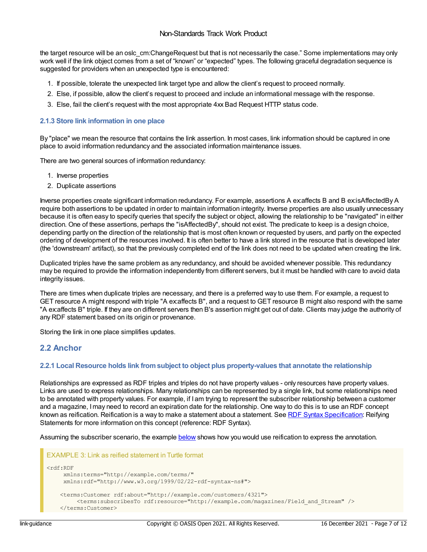the target resource will be an oslc cm:ChangeRequest but that is not necessarily the case." Some implementations may only work well if the link object comes from a set of "known" or "expected" types. The following graceful degradation sequence is suggested for providers when an unexpected type is encountered:

- 1. If possible, tolerate the unexpected link target type and allow the client's request to proceed normally.
- 2. Else, if possible, allow the client's request to proceed and include an informational message with the response.
- 3. Else, fail the client's request with the most appropriate 4xx Bad Request HTTP status code.

#### **2.1.3 Store link information in one place**

By "place" we mean the resource that contains the link assertion. In most cases, link information should be captured in one place to avoid information redundancy and the associated information maintenance issues.

There are two general sources of information redundancy:

- 1. Inverse properties
- 2. Duplicate assertions

Inverse properties create significant information redundancy. For example, assertions A ex:affects B and B ex:isAffectedBy A require both assertions to be updated in order to maintain information integrity. Inverse properties are also usually unnecessary because it is often easy to specify queries that specify the subject or object, allowing the relationship to be "navigated" in either direction. One of these assertions, perhaps the "isAffectedBy", should not exist. The predicate to keep is a design choice, depending partly on the direction of the relationship that is most often known or requested by users, and partly on the expected ordering of development of the resources involved. It is often better to have a link stored in the resource that is developed later (the 'downstream' artifact), so that the previously completed end of the link does not need to be updated when creating the link.

Duplicated triples have the same problem as any redundancy, and should be avoided whenever possible. This redundancy may be required to provide the information independently from different servers, but it must be handled with care to avoid data integrity issues.

There are times when duplicate triples are necessary, and there is a preferred way to use them. For example, a request to GET resource A might respond with triple "A ex:affects B", and a request to GET resource B might also respond with the same "A ex:affects B" triple. If they are on different servers then B's assertion might get out of date. Clients may judge the authority of any RDF statement based on its origin or provenance.

Storing the link in one place simplifies updates.

#### **2.2 Anchor**

#### **2.2.1 Local Resource holds link fromsubject to object plus property-values that annotate the relationship**

Relationships are expressed as RDF triples and triples do not have property values - only resources have property values. Links are used to express relationships. Many relationships can be represented by a single link, but some relationships need to be annotated with property values. For example, if I am trying to represent the subscriber relationship between a customer and a magazine, Imay need to record an expiration date for the relationship. One way to do this is to use an RDF concept known as reification. Reification is a way to make a statement about a statement. See RDF Syntax [Specification](https://www.w3.org/TR/REC-rdf-syntax/#section-Syntax-reifying): Reifying Statements for more information on this concept (reference: RDF Syntax).

Assuming the subscriber scenario, the example [below](#page-7-2) shows how you would use reification to express the annotation.

```
EXAMPLE 3: Link as reified statement in Turtle format
<rdf:RDF
    xmlns:terms="http://example.com/terms/"
    xmlns:rdf="http://www.w3.org/1999/02/22-rdf-syntax-ns#">
    <terms:Customer rdf:about="http://example.com/customers/4321">
         <terms:subscribesTo rdf:resource="http://example.com/magazines/Field_and_Stream" />
    </terms:Customer>
```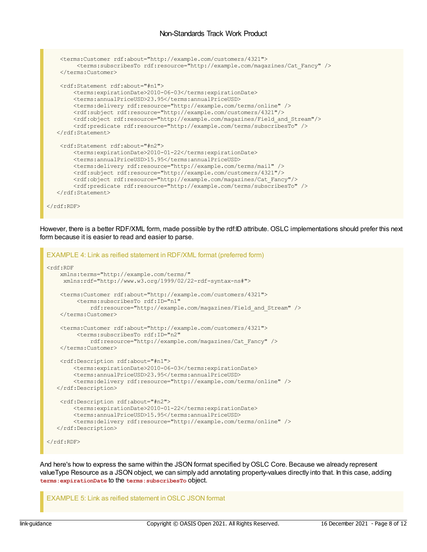#### <span id="page-7-0"></span>Non-Standards Track Work Product

```
<terms:Customer rdf:about="http://example.com/customers/4321">
        <terms:subscribesTo rdf:resource="http://example.com/magazines/Cat_Fancy" />
   </terms:Customer>
   <rdf:Statement rdf:about="#n1">
       <terms:expirationDate>2010-06-03</terms:expirationDate>
       <terms:annualPriceUSD>23.95</terms:annualPriceUSD>
       <terms:delivery rdf:resource="http://example.com/terms/online" />
       <rdf:subject rdf:resource="http://example.com/customers/4321"/>
       <rdf:object rdf:resource="http://example.com/magazines/Field and Stream"/>
       <rdf:predicate rdf:resource="http://example.com/terms/subscribesTo" />
  </rdf:Statement>
   <rdf:Statement rdf:about="#n2">
       <terms:expirationDate>2010-01-22</terms:expirationDate>
       <terms:annualPriceUSD>15.95</terms:annualPriceUSD>
       <terms:delivery rdf:resource="http://example.com/terms/mail" />
       <rdf:subject rdf:resource="http://example.com/customers/4321"/>
       <rdf:object rdf:resource="http://example.com/magazines/Cat_Fancy"/>
       <rdf:predicate rdf:resource="http://example.com/terms/subscribesTo" />
  </rdf:Statement>
</rdf:RDF>
```
However, there is a better RDF/XML form, made possible by the rdf:ID attribute. OSLC implementations should prefer this next form because it is easier to read and easier to parse.

```
EXAMPLE 4: Link as reified statement in RDF/XML format (preferred form)
<rdf:RDF
   xmlns:terms="http://example.com/terms/"
    xmlns:rdf="http://www.w3.org/1999/02/22-rdf-syntax-ns#">
    <terms:Customer rdf:about="http://example.com/customers/4321">
         <terms:subscribesTo rdf:ID="n1"
             rdf:resource="http://example.com/magazines/Field_and_Stream" />
    </terms:Customer>
    <terms:Customer rdf:about="http://example.com/customers/4321">
         <terms:subscribesTo rdf:ID="n2"
            rdf:resource="http://example.com/magazines/Cat_Fancy" />
    </terms:Customer>
    <rdf:Description rdf:about="#n1">
        <terms:expirationDate>2010-06-03</terms:expirationDate>
        <terms:annualPriceUSD>23.95</terms:annualPriceUSD>
        <terms:delivery rdf:resource="http://example.com/terms/online" />
   </rdf:Description>
    <rdf:Description rdf:about="#n2">
        <terms:expirationDate>2010-01-22</terms:expirationDate>
        <terms:annualPriceUSD>15.95</terms:annualPriceUSD>
        <terms:delivery rdf:resource="http://example.com/terms/online" />
   </rdf:Description>
\langle / \text{rdf}:RDF>
```
And here's how to express the same within the JSON format specified byOSLC Core. Because we already represent valueType Resource as a JSON object, we can simply add annotating property-values directly into that. In this case, adding **terms:expirationDate** to the **terms:subscribesTo** object.

EXAMPLE 5: Link as reified statement in OSLC JSON format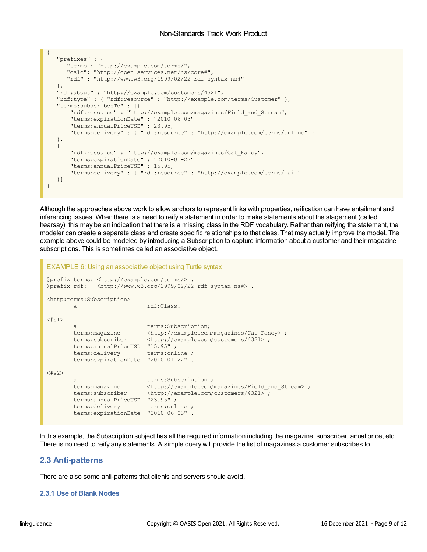```
{
  "prefixes" : {
     "terms": "http://example.com/terms/",
     "oslc": "http://open-services.net/ns/core#",
     "rdf" : "http://www.w3.org/1999/02/22-rdf-syntax-ns#"
   },
  "rdf:about" : "http://example.com/customers/4321",
  "rdf:type" : { "rdf:resource" : "http://example.com/terms/Customer" },
  "terms:subscribesTo" : [{
      "rdf:resource" : "http://example.com/magazines/Field_and_Stream",
      "terms:expirationDate" : "2010-06-03"
      "terms:annualPriceUSD" : 23.95,
      "terms:delivery" : { "rdf:resource" : "http://example.com/terms/online" }
  },
  {
      "rdf:resource" : "http://example.com/magazines/Cat_Fancy",
      "terms:expirationDate" : "2010-01-22"
      "terms:annualPriceUSD" : 15.95,
      "terms:delivery" : { "rdf:resource" : "http://example.com/terms/mail" }
  }]
}
```
Although the approaches above work to allow anchors to represent links with properties, reification can have entailment and inferencing issues. When there is a need to reify a statement in order to make statements about the stagement (called hearsay), this may be an indication that there is a missing class in the RDF vocabulary. Rather than reifying the statement, the modeler can create a separate class and create specific relationships to that class. That may actually improve the model. The example above could be modeled by introducing a Subscription to capture information about a customer and their magazine subscriptions. This is sometimes called an associative object.

#### EXAMPLE 6: Using an associative object using Turtle syntax

```
@prefix terms: <http://example.com/terms/> .
@prefix rdf: <http://www.w3.org/1999/02/22-rdf-syntax-ns#> .
<http:terms:Subscription>
       a rdf:Class.
<#s1>a terms:Subscription;
       terms: magazine <http://example.com/magazines/Cat_Fancy> ;
       terms:subscriber <http://example.com/customers/4321> ;
      terms:annualPriceUSD "15.95" ;<br>terms:delivery terms:online ;
       terms:delivery
       terms:expirationDate "2010-01-22" .
<#s2>a terms:Subscription ;
       terms: magazine <http://example.com/magazines/Field and Stream> ;
       terms:subscriber <http://example.com/customers/4321>;
      terms:annualPriceUSD "23.95" ;
      terms:delivery terms:online ;
       terms:expirationDate "2010-06-03" .
```
In this example, the Subscription subject has all the required information including the magazine, subscriber, anual price, etc. There is no need to reify any statements. A simple query will provide the list of magazines a customer subscribes to.

#### **2.3 Anti-patterns**

There are also some anti-patterns that clients and servers should avoid.

#### **2.3.1 Use of Blank Nodes**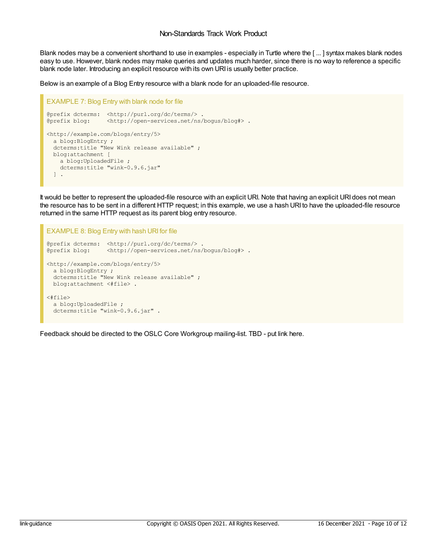<span id="page-9-0"></span>Blank nodes may be a convenient shorthand to use in examples - especially in Turtle where the [ ... ] syntax makes blank nodes easy to use. However, blank nodes may make queries and updates much harder, since there is no way to reference a specific blank node later. Introducing an explicit resource with its own URI is usually better practice.

Below is an example of a Blog Entry resource with a blank node for an uploaded-file resource.

```
EXAMPLE 7: Blog Entry with blank node for file
@prefix dcterms: <http://purl.org/dc/terms/> .
@prefix blog: <http://open-services.net/ns/bogus/blog#> .
<http://example.com/blogs/entry/5>
 a blog:BlogEntry ;
 dcterms:title "New Wink release available" ;
 blog:attachment [
   a blog:UploadedFile ;
   dcterms:title "wink-0.9.6.jar"
 ] .
```
It would be better to represent the uploaded-file resource with an explicit URI. Note that having an explicit URI does not mean the resource has to be sent in a different HTTP request; in this example, we use a hash URI to have the uploaded-file resource returned in the same HTTP request as its parent blog entry resource.

```
EXAMPLE 8: Blog Entry with hash URI for file
@prefix dcterms: <http://purl.org/dc/terms/><br>@prefix blog: <http://open-services.net/ns/
                   <http://open-services.net/ns/bogus/blog#> .
<http://example.com/blogs/entry/5>
 a blog:BlogEntry ;
  dcterms:title "New Wink release available" ;
 blog:attachment <#file> .
<#file>
 a blog:UploadedFile ;
  dcterms:title "wink-0.9.6.jar" .
```
Feedback should be directed to the OSLC Core Workgroup mailing-list. TBD - put link here.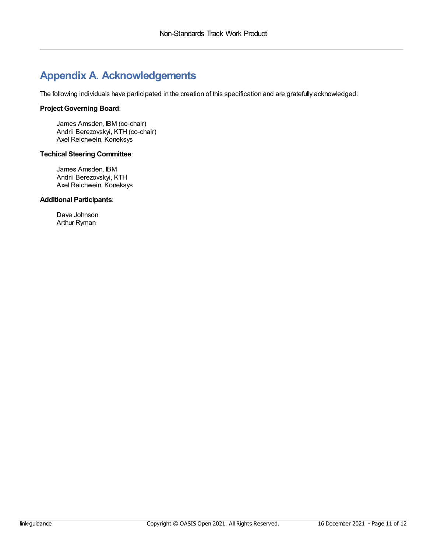## <span id="page-10-0"></span>**Appendix A. Acknowledgements**

The following individuals have participated in the creation of this specification and are gratefully acknowledged:

#### **Project Governing Board**:

James Amsden, IBM (co-chair) Andrii Berezovskyi, KTH (co-chair) Axel Reichwein, Koneksys

#### **Techical Steering Committee**:

James Amsden, IBM Andrii Berezovskyi, KTH Axel Reichwein, Koneksys

#### **Additional Participants**:

Dave Johnson Arthur Ryman